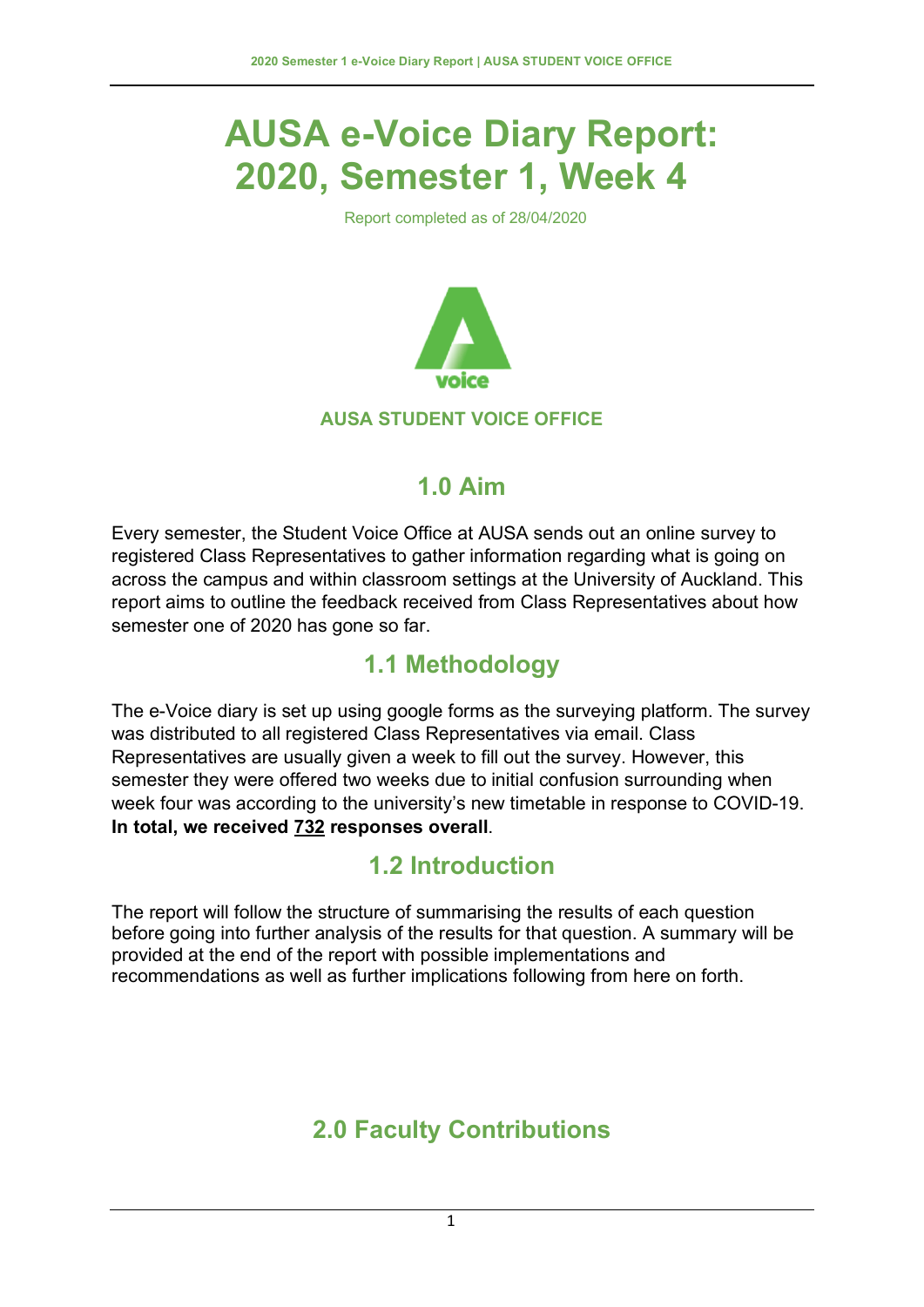# **AUSA e-Voice Diary Report: 2020, Semester 1, Week 4**

Report completed as of 28/04/2020



#### **AUSA STUDENT VOICE OFFICE**

### **1.0 Aim**

Every semester, the Student Voice Office at AUSA sends out an online survey to registered Class Representatives to gather information regarding what is going on across the campus and within classroom settings at the University of Auckland. This report aims to outline the feedback received from Class Representatives about how semester one of 2020 has gone so far.

## **1.1 Methodology**

The e-Voice diary is set up using google forms as the surveying platform. The survey was distributed to all registered Class Representatives via email. Class Representatives are usually given a week to fill out the survey. However, this semester they were offered two weeks due to initial confusion surrounding when week four was according to the university's new timetable in response to COVID-19. **In total, we received 732 responses overall**.

### **1.2 Introduction**

The report will follow the structure of summarising the results of each question before going into further analysis of the results for that question. A summary will be provided at the end of the report with possible implementations and recommendations as well as further implications following from here on forth.

# **2.0 Faculty Contributions**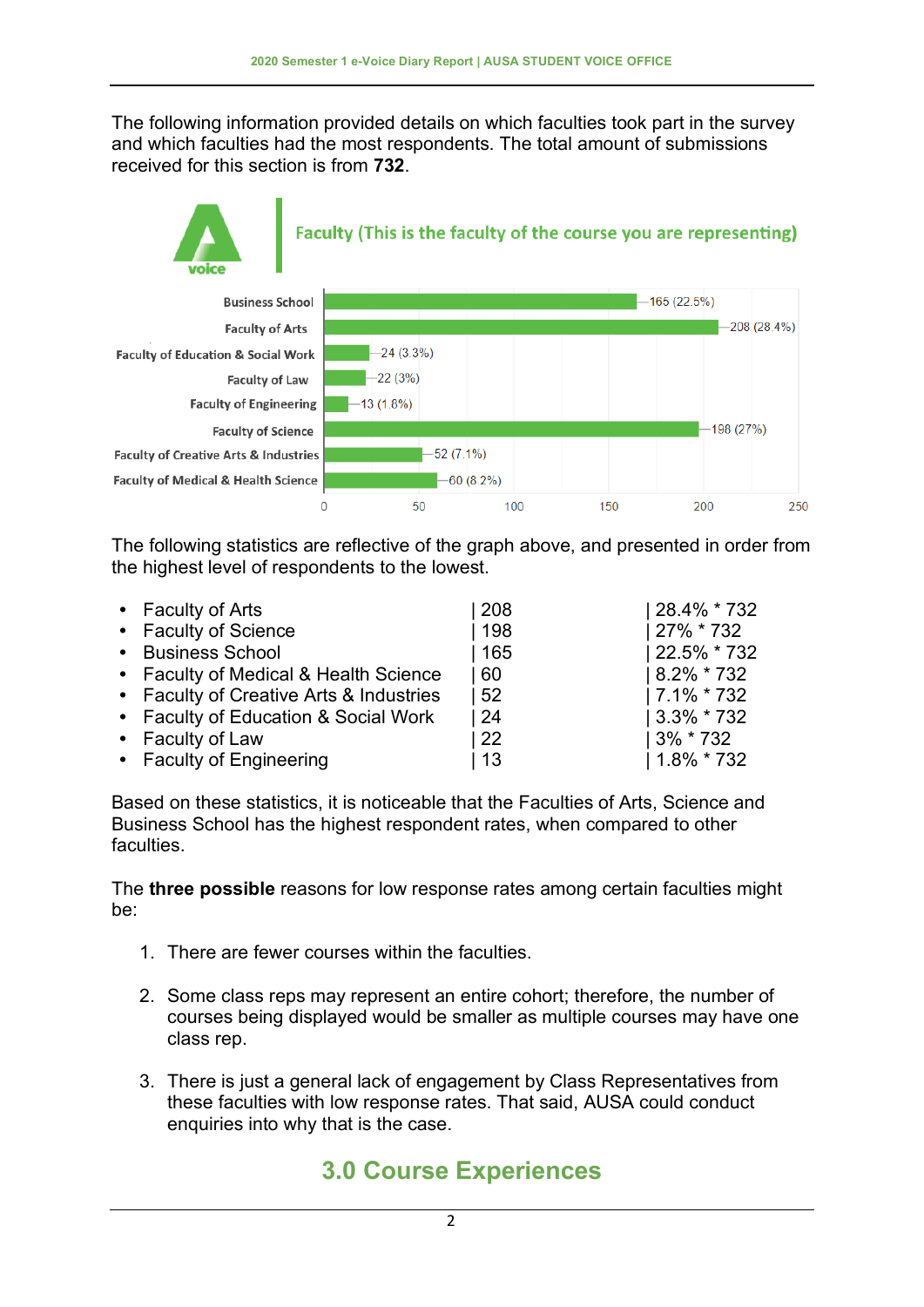The following information provided details on which faculties took part in the survey and which faculties had the most respondents. The total amount of submissions received for this section is from **732**.



The following statistics are reflective of the graph above, and presented in order from the highest level of respondents to the lowest.

| • Faculty of Arts                       | 208 | 28.4% * 732    |
|-----------------------------------------|-----|----------------|
| • Faculty of Science                    | 198 | 27% * 732      |
| • Business School                       | 165 | 22.5% * 732    |
| • Faculty of Medical & Health Science   | 60  | $ 8.2\% * 732$ |
| • Faculty of Creative Arts & Industries | 52  | $ 7.1\% * 732$ |
| • Faculty of Education & Social Work    | -24 | $ 3.3\% * 732$ |
| • Faculty of Law                        | 22  | 3% * 732       |
| • Faculty of Engineering                | 13  | $1.8\% * 732$  |

Based on these statistics, it is noticeable that the Faculties of Arts, Science and Business School has the highest respondent rates, when compared to other faculties.

The **three possible** reasons for low response rates among certain faculties might be:

- 1. There are fewer courses within the faculties.
- 2. Some class reps may represent an entire cohort; therefore, the number of courses being displayed would be smaller as multiple courses may have one class rep.
- 3. There is just a general lack of engagement by Class Representatives from these faculties with low response rates. That said, AUSA could conduct enquiries into why that is the case.

# **3.0 Course Experiences**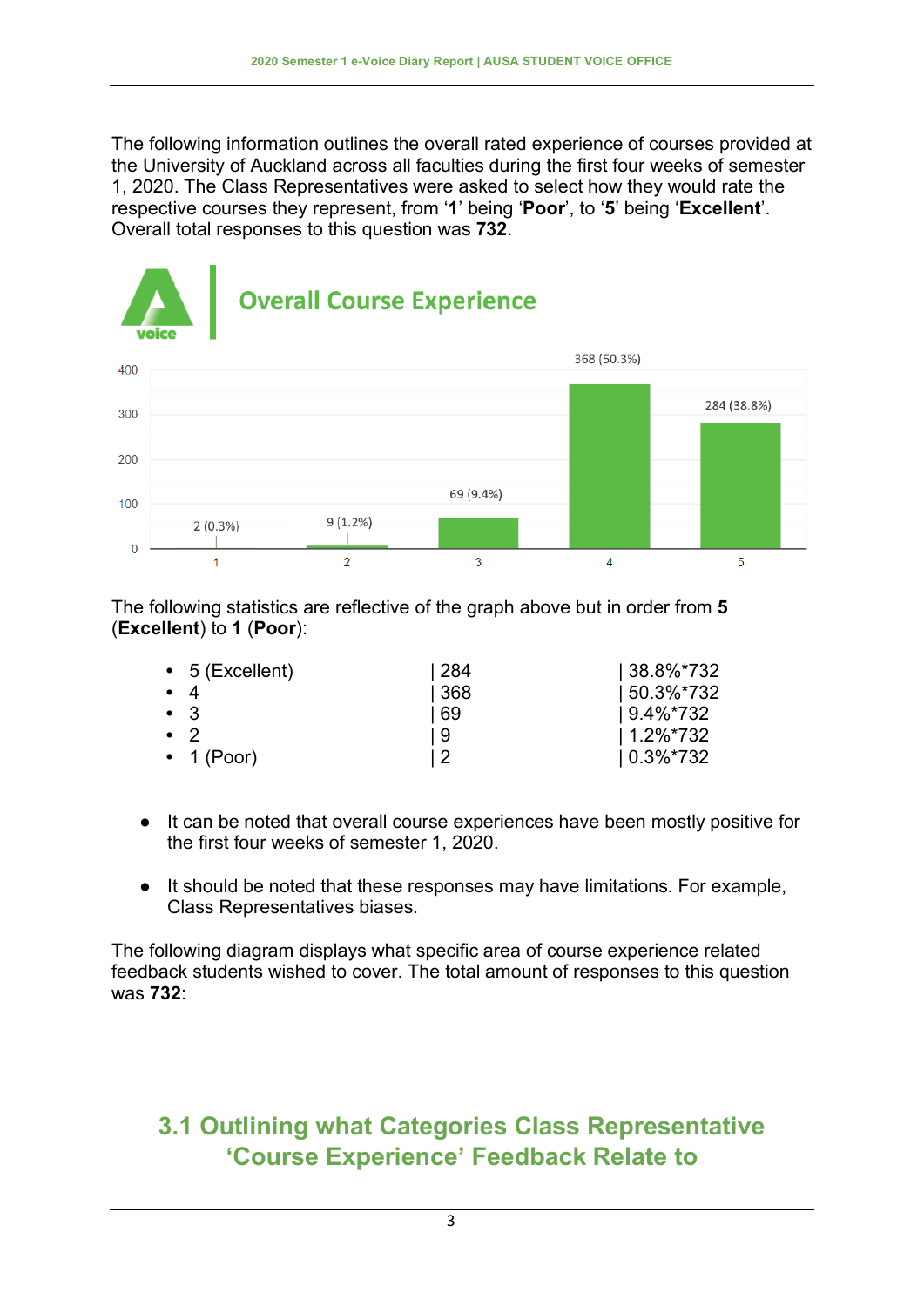The following information outlines the overall rated experience of courses provided at the University of Auckland across all faculties during the first four weeks of semester 1, 2020. The Class Representatives were asked to select how they would rate the respective courses they represent, from '**1**' being '**Poor**', to '**5**' being '**Excellent**'. Overall total responses to this question was **732**.



The following statistics are reflective of the graph above but in order from **5** (**Excellent**) to **1** (**Poor**):

|             | $\bullet$ 5 (Excellent) | 284  | $ 38.8\%*732$  |
|-------------|-------------------------|------|----------------|
| $\bullet$ 4 |                         | 368  | $150.3\%$ *732 |
|             | $\bullet$ 3             | l 69 | $19.4\%*732$   |
|             | $\bullet$ 2             | l 9  | $1.2\%$ *732   |
|             | $\cdot$ 1 (Poor)        |      | $10.3\%*732$   |

- It can be noted that overall course experiences have been mostly positive for the first four weeks of semester 1, 2020.
- It should be noted that these responses may have limitations. For example, Class Representatives biases.

The following diagram displays what specific area of course experience related feedback students wished to cover. The total amount of responses to this question was **732**:

### **3.1 Outlining what Categories Class Representative 'Course Experience' Feedback Relate to**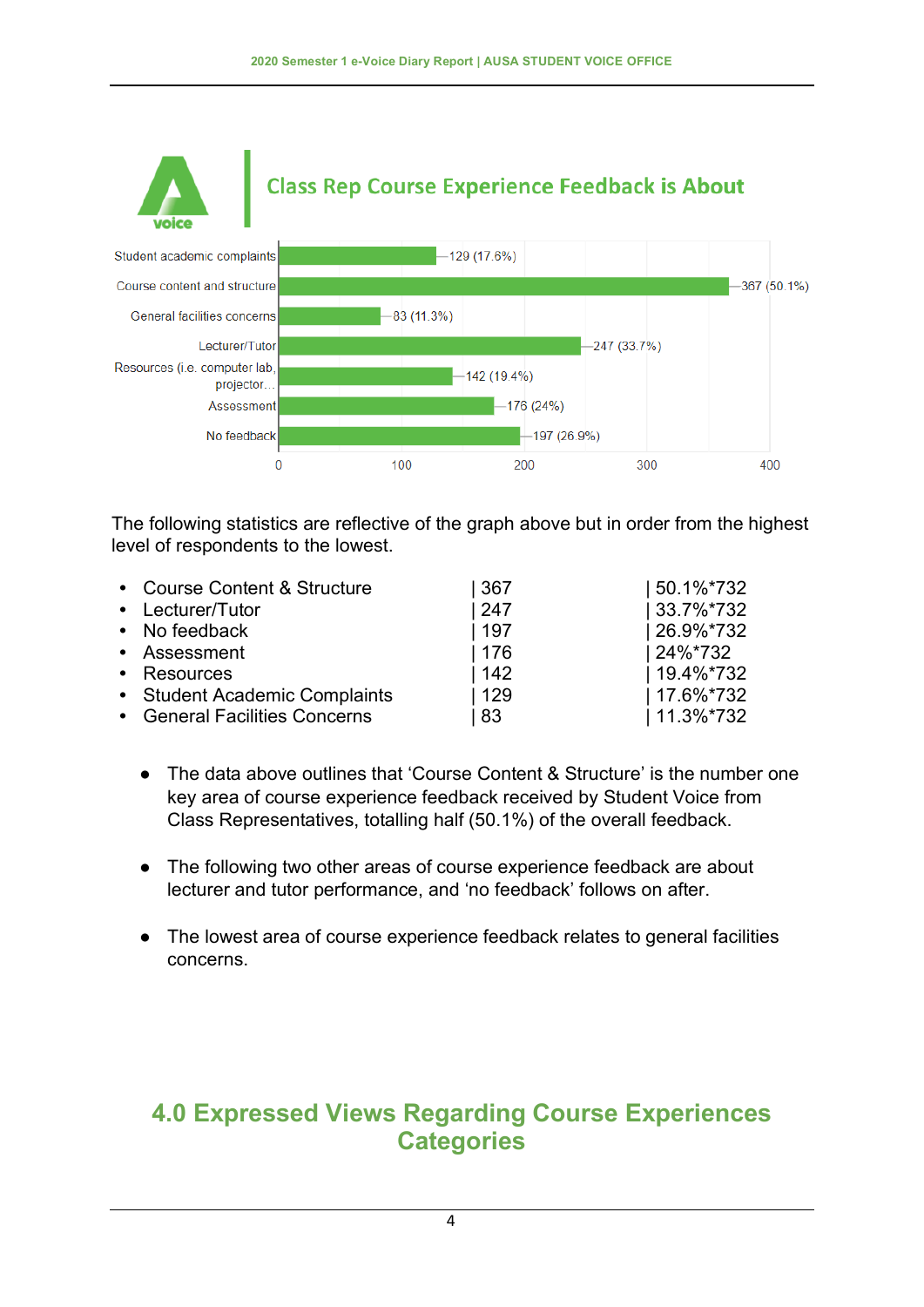

The following statistics are reflective of the graph above but in order from the highest level of respondents to the lowest.

| • Course Content & Structure  | 367 | 50.1%*732     |
|-------------------------------|-----|---------------|
| • Lecturer/Tutor              | 247 | 33.7%*732     |
| • No feedback                 | 197 | 26.9%*732     |
| • Assessment                  | 176 | 24%*732       |
| • Resources                   | 142 | 19.4%*732     |
| • Student Academic Complaints | 129 | 17.6%*732     |
| • General Facilities Concerns | 83  | $11.3\%$ *732 |

- The data above outlines that 'Course Content & Structure' is the number one key area of course experience feedback received by Student Voice from Class Representatives, totalling half (50.1%) of the overall feedback.
- The following two other areas of course experience feedback are about lecturer and tutor performance, and 'no feedback' follows on after.
- The lowest area of course experience feedback relates to general facilities concerns.

#### **4.0 Expressed Views Regarding Course Experiences Categories**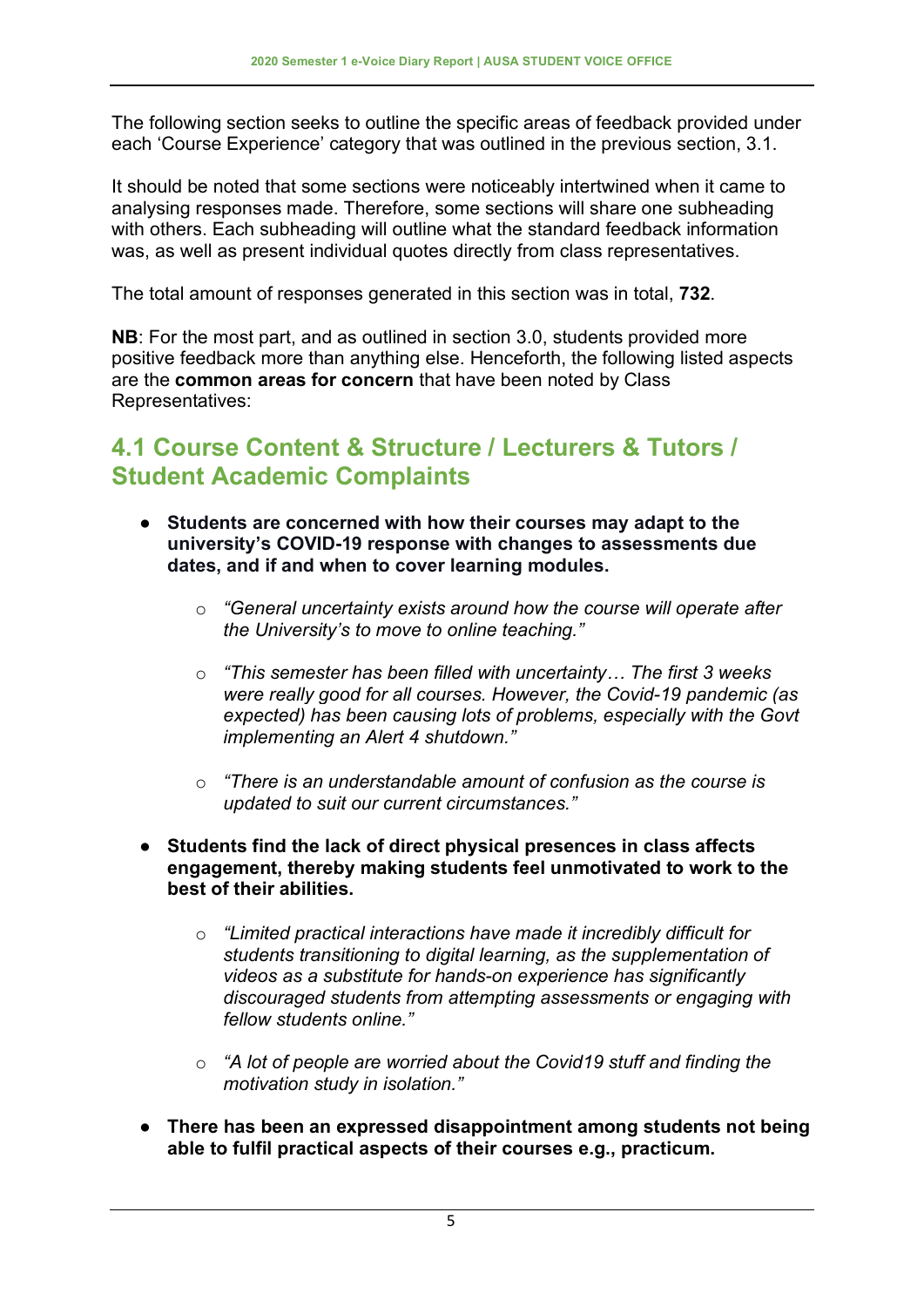The following section seeks to outline the specific areas of feedback provided under each 'Course Experience' category that was outlined in the previous section, 3.1.

It should be noted that some sections were noticeably intertwined when it came to analysing responses made. Therefore, some sections will share one subheading with others. Each subheading will outline what the standard feedback information was, as well as present individual quotes directly from class representatives.

The total amount of responses generated in this section was in total, **732**.

**NB**: For the most part, and as outlined in section 3.0, students provided more positive feedback more than anything else. Henceforth, the following listed aspects are the **common areas for concern** that have been noted by Class Representatives:

### **4.1 Course Content & Structure / Lecturers & Tutors / Student Academic Complaints**

- **Students are concerned with how their courses may adapt to the university's COVID-19 response with changes to assessments due dates, and if and when to cover learning modules.**
	- o *"General uncertainty exists around how the course will operate after the University's to move to online teaching."*
	- o *"This semester has been filled with uncertainty… The first 3 weeks were really good for all courses. However, the Covid-19 pandemic (as expected) has been causing lots of problems, especially with the Govt implementing an Alert 4 shutdown."*
	- o *"There is an understandable amount of confusion as the course is updated to suit our current circumstances."*
- **Students find the lack of direct physical presences in class affects engagement, thereby making students feel unmotivated to work to the best of their abilities.** 
	- o *"Limited practical interactions have made it incredibly difficult for students transitioning to digital learning, as the supplementation of videos as a substitute for hands-on experience has significantly discouraged students from attempting assessments or engaging with fellow students online."*
	- o *"A lot of people are worried about the Covid19 stuff and finding the motivation study in isolation."*
- **There has been an expressed disappointment among students not being able to fulfil practical aspects of their courses e.g., practicum.**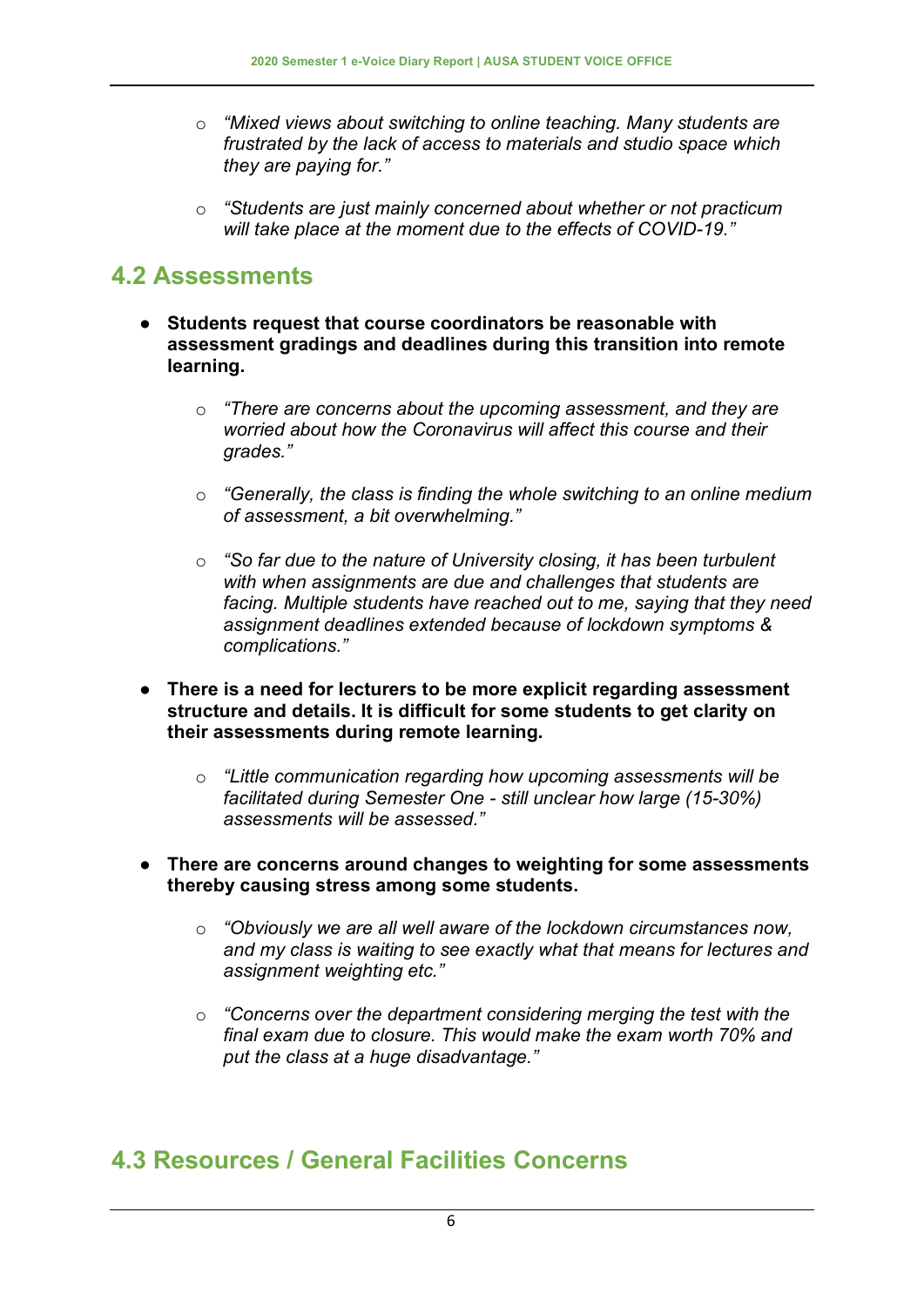- o *"Mixed views about switching to online teaching. Many students are frustrated by the lack of access to materials and studio space which they are paying for."*
- o *"Students are just mainly concerned about whether or not practicum will take place at the moment due to the effects of COVID-19."*

### **4.2 Assessments**

- **Students request that course coordinators be reasonable with assessment gradings and deadlines during this transition into remote learning.** 
	- o *"There are concerns about the upcoming assessment, and they are worried about how the Coronavirus will affect this course and their grades."*
	- o *"Generally, the class is finding the whole switching to an online medium of assessment, a bit overwhelming."*
	- o *"So far due to the nature of University closing, it has been turbulent with when assignments are due and challenges that students are facing. Multiple students have reached out to me, saying that they need assignment deadlines extended because of lockdown symptoms & complications."*
- **There is a need for lecturers to be more explicit regarding assessment structure and details. It is difficult for some students to get clarity on their assessments during remote learning.** 
	- o *"Little communication regarding how upcoming assessments will be facilitated during Semester One - still unclear how large (15-30%) assessments will be assessed."*

#### ● **There are concerns around changes to weighting for some assessments thereby causing stress among some students.**

- o *"Obviously we are all well aware of the lockdown circumstances now, and my class is waiting to see exactly what that means for lectures and assignment weighting etc."*
- o *"Concerns over the department considering merging the test with the final exam due to closure. This would make the exam worth 70% and put the class at a huge disadvantage."*

#### **4.3 Resources / General Facilities Concerns**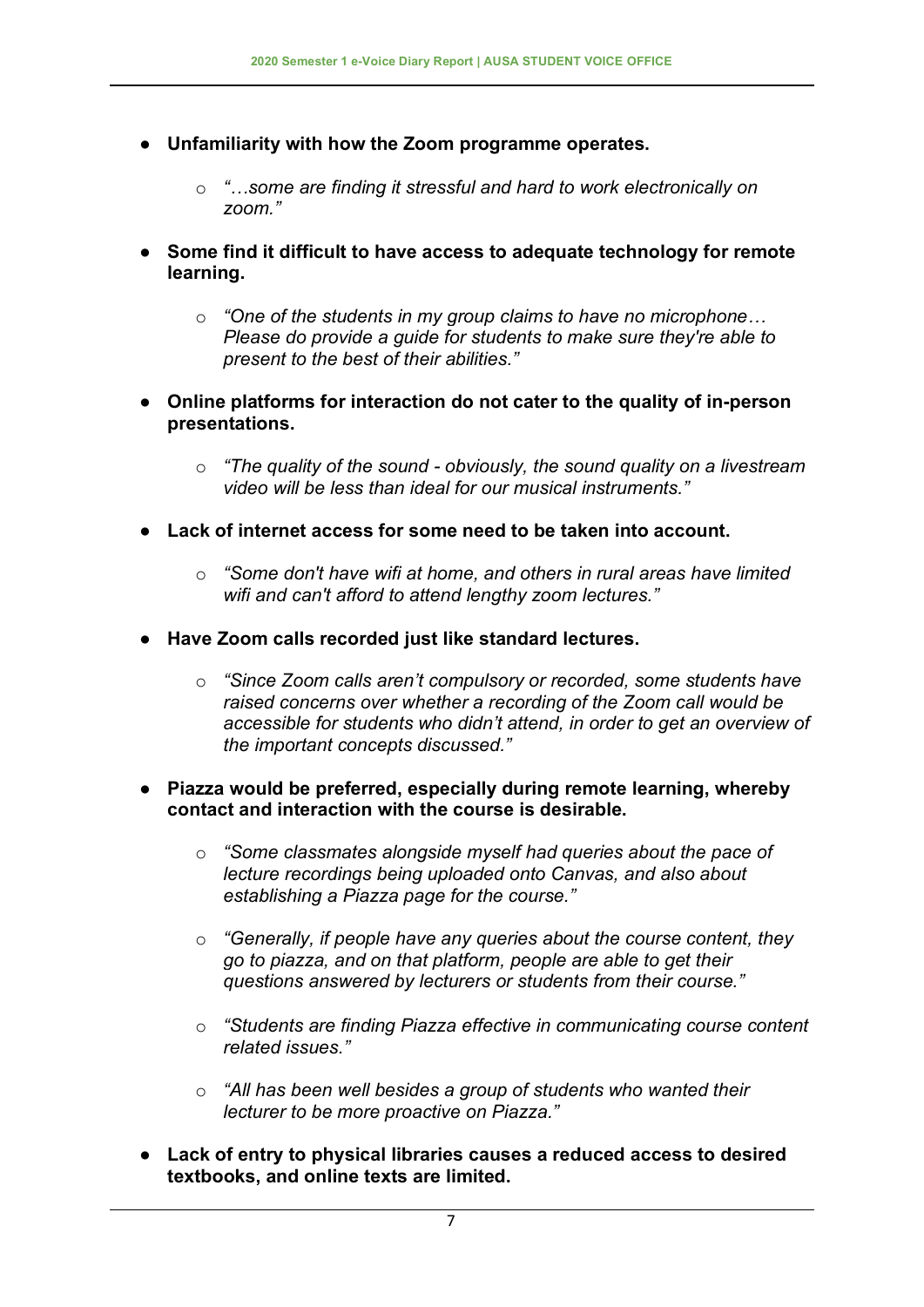- **Unfamiliarity with how the Zoom programme operates.**
	- o *"…some are finding it stressful and hard to work electronically on zoom."*
- **Some find it difficult to have access to adequate technology for remote learning.**
	- o *"One of the students in my group claims to have no microphone… Please do provide a guide for students to make sure they're able to present to the best of their abilities."*
- **Online platforms for interaction do not cater to the quality of in-person presentations.**
	- o *"The quality of the sound - obviously, the sound quality on a livestream video will be less than ideal for our musical instruments."*
- **Lack of internet access for some need to be taken into account.**
	- o *"Some don't have wifi at home, and others in rural areas have limited wifi and can't afford to attend lengthy zoom lectures."*
- **Have Zoom calls recorded just like standard lectures.**
	- o *"Since Zoom calls aren't compulsory or recorded, some students have raised concerns over whether a recording of the Zoom call would be accessible for students who didn't attend, in order to get an overview of the important concepts discussed."*
- **Piazza would be preferred, especially during remote learning, whereby contact and interaction with the course is desirable.** 
	- o *"Some classmates alongside myself had queries about the pace of lecture recordings being uploaded onto Canvas, and also about establishing a Piazza page for the course."*
	- o *"Generally, if people have any queries about the course content, they go to piazza, and on that platform, people are able to get their questions answered by lecturers or students from their course."*
	- o *"Students are finding Piazza effective in communicating course content related issues."*
	- o *"All has been well besides a group of students who wanted their lecturer to be more proactive on Piazza."*
- **Lack of entry to physical libraries causes a reduced access to desired textbooks, and online texts are limited.**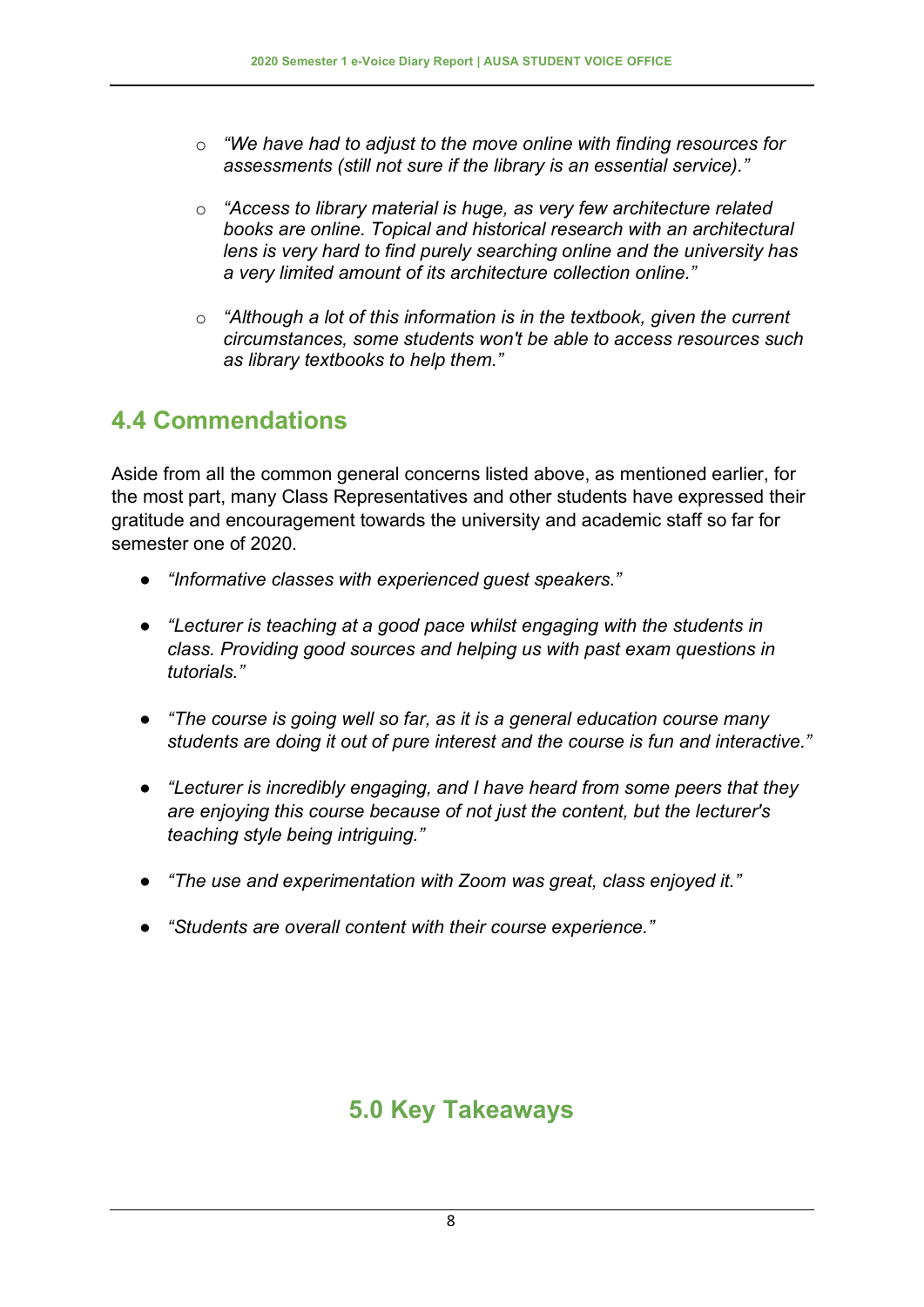- o *"We have had to adjust to the move online with finding resources for assessments (still not sure if the library is an essential service)."*
- o *"Access to library material is huge, as very few architecture related books are online. Topical and historical research with an architectural lens is very hard to find purely searching online and the university has a very limited amount of its architecture collection online."*
- o *"Although a lot of this information is in the textbook, given the current circumstances, some students won't be able to access resources such as library textbooks to help them."*

# **4.4 Commendations**

Aside from all the common general concerns listed above, as mentioned earlier, for the most part, many Class Representatives and other students have expressed their gratitude and encouragement towards the university and academic staff so far for semester one of 2020.

- *"Informative classes with experienced guest speakers."*
- *"Lecturer is teaching at a good pace whilst engaging with the students in class. Providing good sources and helping us with past exam questions in tutorials."*
- *"The course is going well so far, as it is a general education course many students are doing it out of pure interest and the course is fun and interactive."*
- *"Lecturer is incredibly engaging, and I have heard from some peers that they are enjoying this course because of not just the content, but the lecturer's teaching style being intriguing."*
- *"The use and experimentation with Zoom was great, class enjoyed it."*
- *"Students are overall content with their course experience."*

# **5.0 Key Takeaways**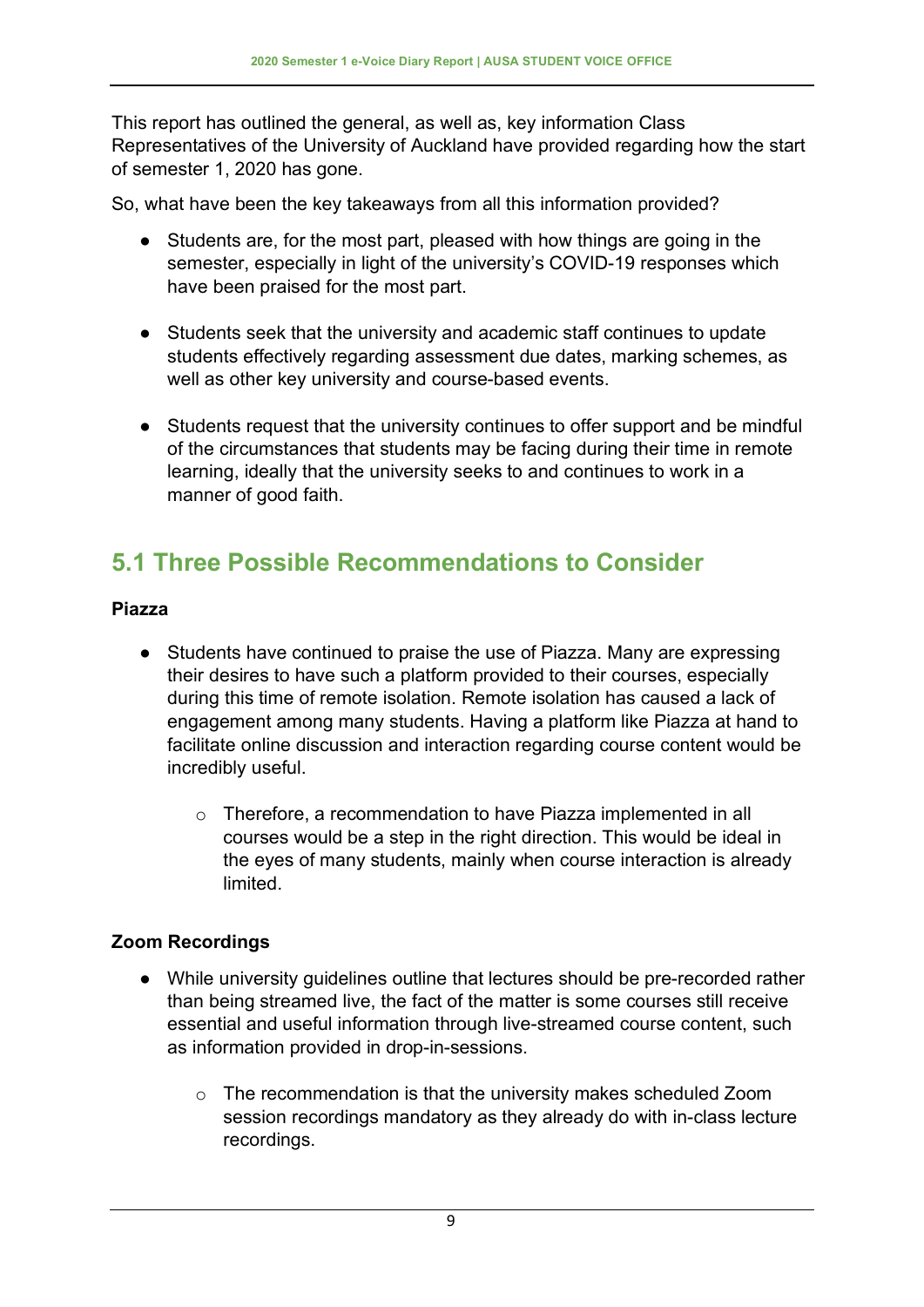This report has outlined the general, as well as, key information Class Representatives of the University of Auckland have provided regarding how the start of semester 1, 2020 has gone.

So, what have been the key takeaways from all this information provided?

- Students are, for the most part, pleased with how things are going in the semester, especially in light of the university's COVID-19 responses which have been praised for the most part.
- Students seek that the university and academic staff continues to update students effectively regarding assessment due dates, marking schemes, as well as other key university and course-based events.
- Students request that the university continues to offer support and be mindful of the circumstances that students may be facing during their time in remote learning, ideally that the university seeks to and continues to work in a manner of good faith.

# **5.1 Three Possible Recommendations to Consider**

#### **Piazza**

- Students have continued to praise the use of Piazza. Many are expressing their desires to have such a platform provided to their courses, especially during this time of remote isolation. Remote isolation has caused a lack of engagement among many students. Having a platform like Piazza at hand to facilitate online discussion and interaction regarding course content would be incredibly useful.
	- o Therefore, a recommendation to have Piazza implemented in all courses would be a step in the right direction. This would be ideal in the eyes of many students, mainly when course interaction is already limited.

#### **Zoom Recordings**

- While university guidelines outline that lectures should be pre-recorded rather than being streamed live, the fact of the matter is some courses still receive essential and useful information through live-streamed course content, such as information provided in drop-in-sessions.
	- o The recommendation is that the university makes scheduled Zoom session recordings mandatory as they already do with in-class lecture recordings.